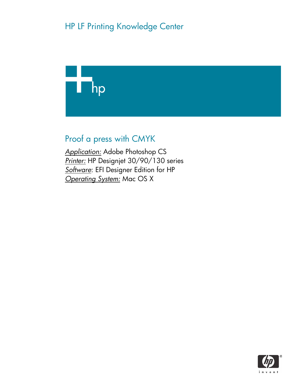

Proof a press with CMYK

*Application:* Adobe Photoshop CS *Printer:* HP Designjet 30/90/130 series *Software*: EFI Designer Edition for HP *Operating System:* Mac OS X

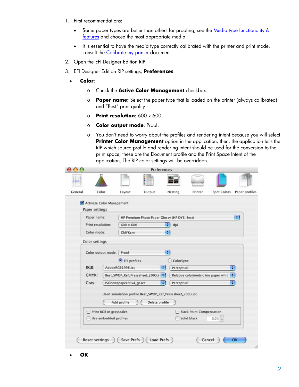- 1. First recommendations:
	- Some paper types are better than others for proofing, see the Media type functionality & [features](https://www.designjet.hp.com/supplies/home.html?pageseq=19910) and choose the most appropriate media.
	- It is essential to have the media type correctly calibrated with the printer and print mode, consult the [Calibrate my printer](https://h41186.www4.hp.com/Data/printingknowledge/color_calibration_EFI_30_90_130_mac.pdf) document.
- 2. Open the EFI Designer Edition RIP.
- 3. EFI Designer Edition RIP settings, **Preferences**:
	- **Color**:
		- o Check the **Active Color Management** checkbox.
		- o **Paper name:** Select the paper type that is loaded on the printer (always calibrated) and "Best" print quality.
		- o **Print resolution**: 600 x 600.
		- o **Color output mode**: Proof.
		- o You don't need to worry about the profiles and rendering intent because you will select **Printer Color Management** option in the application, then, the application tells the RIP which source profile and rendering intent should be used for the conversion to the print space, these are the Document profile and the Print Space Intent of the application. The RIP color settings will be overridden.

| 00<br>$\blacksquare$ |                           |                         |                         | Preferences                                               |          |            |                                 |                                      |                              |                |
|----------------------|---------------------------|-------------------------|-------------------------|-----------------------------------------------------------|----------|------------|---------------------------------|--------------------------------------|------------------------------|----------------|
|                      |                           |                         |                         | 9                                                         |          |            |                                 |                                      |                              |                |
| General              | Color                     |                         | Layout                  | Output                                                    | Nesting  |            | Printer                         | Spot Colors                          |                              |                |
|                      | Activate Color Management |                         |                         |                                                           |          |            |                                 |                                      |                              |                |
|                      | Paper settings            |                         |                         |                                                           |          |            |                                 |                                      |                              |                |
|                      | Paper name:               |                         |                         | HP Premium Photo Paper Glossy (HP DYE, Best)              |          |            |                                 |                                      | Ð                            |                |
|                      | Print resolution:         |                         | 600 × 600               |                                                           | ÷<br>dpi |            |                                 |                                      |                              | Paper profiles |
|                      | Color mode:               |                         | CMYKcm                  |                                                           | B.       |            |                                 |                                      |                              |                |
|                      | Color settings            |                         |                         |                                                           |          |            |                                 |                                      |                              |                |
|                      |                           |                         |                         |                                                           |          |            |                                 |                                      |                              |                |
|                      | Color output mode: Proof  |                         |                         |                                                           | H        |            |                                 |                                      |                              |                |
|                      |                           |                         | $\bullet$ EFI profiles  |                                                           |          | ColorSync  |                                 |                                      |                              |                |
|                      | $RGB$ :                   |                         | AdobeRGB1998.icc        | H.                                                        |          | Perceptual |                                 |                                      | $\left( \frac{1}{2} \right)$ |                |
|                      | CMYK:                     |                         |                         | Best_SWOP_Ref_Presssheet_2003.i ;                         |          |            |                                 | Relative colorimetric (no paper whit | $\left  \cdot \right $       |                |
|                      | Gray:                     |                         | ISOnewspaper26v4_gr.icc | Ð                                                         |          | Perceptual |                                 |                                      | ÷                            |                |
|                      |                           |                         |                         | Used simulation profile Best_SWOP_Ref_Presssheet_2003.icc |          |            |                                 |                                      |                              |                |
|                      |                           |                         | Add profile             | Delete profile                                            |          |            |                                 |                                      |                              |                |
|                      |                           |                         |                         |                                                           |          |            |                                 |                                      |                              |                |
|                      |                           | Print RGB in grayscales |                         |                                                           |          |            | <b>Black Point Compensation</b> |                                      |                              |                |
|                      | H                         | Use embedded profiles   |                         |                                                           |          |            | Solid black:                    | 0.0%                                 |                              |                |

• **OK**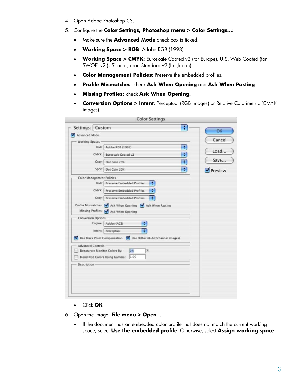- 4. Open Adobe Photoshop CS.
- 5. Configure the **Color Settings, Photoshop menu > Color Settings…**:
	- Make sure the **Advanced Mode** check box is ticked.
	- **Working Space > RGB**: Adobe RGB (1998).
	- **Working Space > CMYK**: Euroscale Coated v2 (for Europe), U.S. Web Coated (for SWOP) v2 (US) and Japan Standard v2 (for Japan).
	- **Color Management Policies**: Preserve the embedded profiles.
	- **Profile Mismatches**: check **Ask When Opening** and **Ask When Pasting**.
	- **Missing Profiles:** check **Ask When Opening.**
	- **Conversion Options > Intent**: Perceptual (RGB images) or Relative Colorimetric (CMYK images).

| ÷<br>Settings: Custom                                            | OK             |
|------------------------------------------------------------------|----------------|
| Advanced Mode                                                    |                |
| <b>Working Spaces</b>                                            | Cancel         |
| B<br>RGB:<br>Adobe RGB (1998)                                    |                |
| $\ddot{\cdot}$<br>CMYK:<br><b>Euroscale Coated v2</b>            | Load           |
| ÷<br>Gray:<br>Dot Gain 20%                                       | Save           |
| ÷<br>Spot:<br>Dot Gain 20%                                       | <b>Preview</b> |
| <b>Color Management Policies</b>                                 |                |
| RGB: Preserve Embedded Profiles<br>÷                             |                |
| CMYK:<br>Preserve Embedded Profiles<br>٠                         |                |
| <b>Gray: Preserve Embedded Profiles</b>                          |                |
| Profile Mismatches: V Ask When Opening V Ask When Pasting        |                |
| Missing Profiles: MAsk When Opening                              |                |
| <b>Conversion Options</b><br>¢,<br>Engine: Adobe (ACE)           |                |
| ÷<br>Intent: Perceptual                                          |                |
| Use Black Point Compensation V Use Dither (8-bit/channel images) |                |
| <b>Advanced Controls -</b>                                       |                |
| 20<br>Desaturate Monitor Colors By:<br>$\frac{1}{2}$             |                |
| 1.00<br>Blend RGB Colors Using Gamma:                            |                |
| Description                                                      |                |
|                                                                  |                |
|                                                                  |                |
|                                                                  |                |
|                                                                  |                |

- Click **OK**
- 6. Open the image, **File menu > Open**…:
	- If the document has an embedded color profile that does not match the current working space, select **Use the embedded profile**. Otherwise, select **Assign working space**.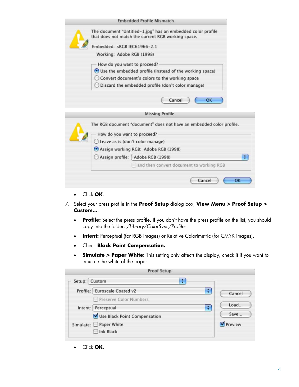- Click **OK**.
- 7. Select your press profile in the **Proof Setup** dialog box, **View Menu > Proof Setup > Custom…**:
	- **Profile:** Select the press profile. If you don't have the press profile on the list, you should copy into the folder: */Library/ColorSync/Profiles.*
	- **Intent:** Perceptual (for RGB images) or Relative Colorimetric (for CMYK images).
	- Check **Black Point Compensation.**
	- **Simulate > Paper White:** This setting only affects the display, check it if you want to emulate the white of the paper.

|               | <b>Proof Setup</b>                |         |
|---------------|-----------------------------------|---------|
| Setup: Custom | ÷                                 |         |
|               | Profile: Euroscale Coated v2<br>÷ | Cancel  |
|               | Preserve Color Numbers            |         |
|               | ÷<br>Intent: Perceptual           | Load    |
|               | Use Black Point Compensation      | Save    |
|               | Simulate: Paper White             | Preview |
|               | □ Ink Black                       |         |

• Click **OK**.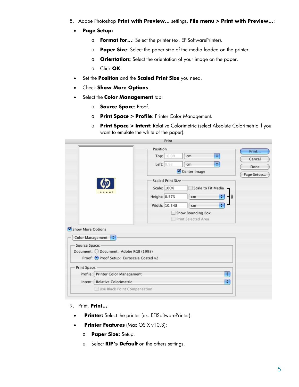- 8. Adobe Photoshop **Print with Preview…** settings, **File menu > Print with Preview…**:
	- **Page Setup:** 
		- o **Format for...**: Select the printer (ex. EFISoftwarePrinter).
		- o **Paper Size**: Select the paper size of the media loaded on the printer.
		- o **Orientation:** Select the orientation of your image on the paper.
		- o Click **OK**.
	- Set the **Position** and the **Scaled Print Size** you need.
	- Check **Show More Options**.
	- Select the **Color Management** tab:
		- o **Source Space**: Proof.
		- o **Print Space > Profile**: Printer Color Management.
		- o **Print Space > Intent**: Relative Colorimetric (select Absolute Colorimetric if you want to emulate the white of the paper).

|                   |                                           | Print                                                         |            |
|-------------------|-------------------------------------------|---------------------------------------------------------------|------------|
|                   |                                           | Position                                                      | Print      |
|                   |                                           | ÷<br>Top: 16.09<br>cm                                         | Cancel     |
|                   |                                           | ÷<br>Left: 8.93<br>cm                                         | Done       |
|                   |                                           | Center Image                                                  | Page Setup |
|                   |                                           | <b>Scaled Print Size</b>                                      |            |
|                   |                                           | Scale: 100%<br>Scale to Fit Media<br>$\overline{\phantom{a}}$ |            |
|                   | invent                                    | Height: 8.573<br>÷<br>cm                                      |            |
|                   |                                           | ÷<br>Width: 10.548<br>cm                                      |            |
|                   |                                           | Show Bounding Box                                             |            |
|                   |                                           | Print Selected Area                                           |            |
| Show More Options |                                           |                                                               |            |
|                   | Color Management :                        |                                                               |            |
| Source Space:     |                                           |                                                               |            |
|                   | Document: O Document: Adobe RGB (1998)    |                                                               |            |
|                   | Proof: O Proof Setup: Euroscale Coated v2 |                                                               |            |
| Print Space:      |                                           |                                                               |            |
|                   | Profile: Printer Color Management         | ÷                                                             |            |
|                   | Intent: Relative Colorimetric             | Ŧ                                                             |            |
|                   |                                           |                                                               |            |
|                   | Use Black Point Compensation              |                                                               |            |

## 9. Print, **Print…**:

- **Printer:** Select the printer (ex. EFISoftwarePrinter).
- **Printer Features** (Mac OS X v10.3):
	- o **Paper Size:** Setup.
	- o Select **RIP's Default** on the others settings.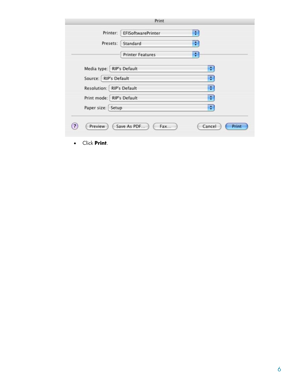|                             | Print                   |   |
|-----------------------------|-------------------------|---|
| Printer:                    | EFISoftwarePrinter      | ÷ |
| Presets:                    | Standard                | ÷ |
|                             | <b>Printer Features</b> | ÷ |
| Media type:   RIP's Default |                         | ÷ |
| Source: RIP's Default       |                         | ÷ |
| Resolution: RIP's Default   |                         | ÷ |
| Print mode: RIP's Default   |                         | ÷ |
| Paper size: Setup           |                         | ÷ |

• Click **Print**.